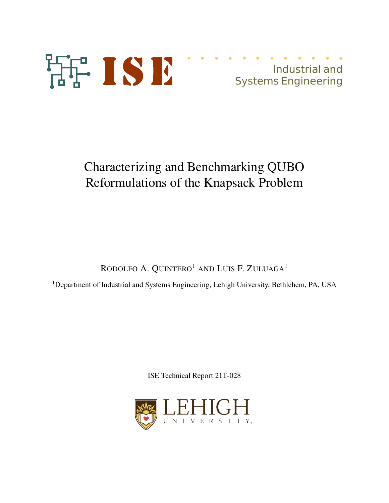



# Characterizing and Benchmarking QUBO Reformulations of the Knapsack Problem

RODOLFO A. QUINTERO<sup>1</sup> AND LUIS F. ZULUAGA<sup>1</sup>

<sup>1</sup>Department of Industrial and Systems Engineering, Lehigh University, Bethlehem, PA, USA

ISE Technical Report 21T-028

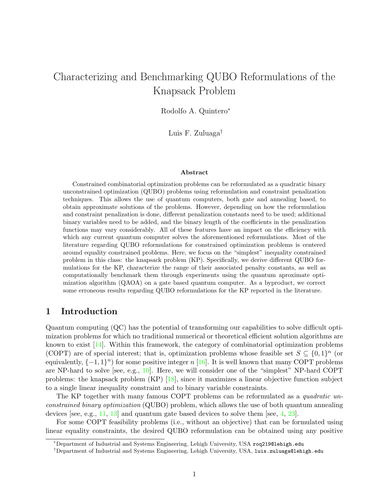## Characterizing and Benchmarking QUBO Reformulations of the Knapsack Problem

Rodolfo A. Quintero<sup>∗</sup>

Luis F. Zuluaga†

#### Abstract

Constrained combinatorial optimization problems can be reformulated as a quadratic binary unconstrained optimization (QUBO) problems using reformulation and constraint penalization techniques. This allows the use of quantum computers, both gate and annealing based, to obtain approximate solutions of the problems. However, depending on how the reformulation and constraint penalization is done, different penalization constants need to be used; additional binary variables need to be added, and the binary length of the coefficients in the penalization functions may vary considerably. All of these features have an impact on the efficiency with which any current quantum computer solves the aforementioned reformulations. Most of the literature regarding QUBO reformulations for constrained optimization problems is centered around equality constrained problems. Here, we focus on the "simplest" inequality constrained problem in this class: the knapsack problem (KP). Specifically, we derive different QUBO formulations for the KP, characterize the range of their associated penalty constants, as well as computationally benchmark them through experiments using the quantum aproximate optimization algorithm (QAOA) on a gate based quantum computer. As a byproduct, we correct some erroneous results regarding QUBO reformulations for the KP reported in the literature.

#### 1 Introduction

Quantum computing (QC) has the potential of transforming our capabilities to solve difficult optimization problems for which no traditional numerical or theoretical efficient solution algorithms are known to exist  $[14]$ . Within this framework, the category of combinatorial optimization problems (COPT) are of special interest; that is, optimization problems whose feasible set  $S \subseteq \{0,1\}^n$  (or equivalently,  $\{-1, 1\}$ <sup>n</sup>) for some positive integer n [16]. It is well known that many COPT problems are NP-hard to solve [see, e.g., 10]. Here, we will consider one of the "simplest" NP-hard COPT problems: the knapsack problem (KP) [18], since it maximizes a linear objective function subject to a single linear inequality constraint and to binary variable constraints.

The KP together with many famous COPT problems can be reformulated as a *quadratic un*constrained binary optimization (QUBO) problem, which allows the use of both quantum annealing devices [see, e.g., 11, 13] and quantum gate based devices to solve them [see, 4, 23].

For some COPT feasibility problems (i.e., without an objective) that can be formulated using linear equality constraints, the desired QUBO reformulation can be obtained using any positive

<sup>∗</sup>Department of Industrial and Systems Engineering, Lehigh University, USA roq219@lehigh.edu

<sup>†</sup>Department of Industrial and Systems Engineering, Lehigh University, USA, luis.zuluaga@lehigh.edu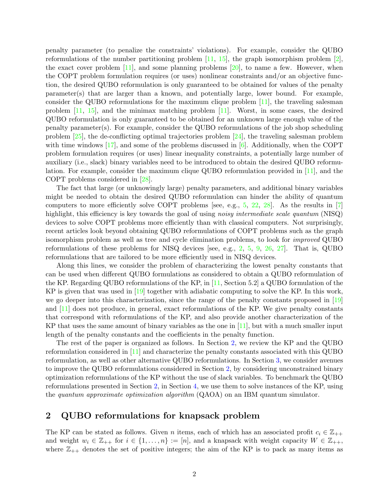penalty parameter (to penalize the constraints' violations). For example, consider the QUBO reformulations of the number partitioning problem  $[11, 15]$ , the graph isomorphism problem  $[2]$ , the exact cover problem  $[11]$ , and some planning problems  $[20]$ , to name a few. However, when the COPT problem formulation requires (or uses) nonlinear constraints and/or an objective function, the desired QUBO reformulation is only guaranteed to be obtained for values of the penalty parameter(s) that are larger than a known, and potentially large, lower bound. For example, consider the QUBO reformulations for the maximum clique problem [11], the traveling salesman problem [11, 15], and the minimax matching problem [11]. Worst, in some cases, the desired QUBO reformulation is only guaranteed to be obtained for an unknown large enough value of the penalty parameter(s). For example, consider the QUBO reformulations of the job shop scheduling problem [25], the de-conflicting optimal trajectories problem [24], the traveling salesman problem with time windows  $[17]$ , and some of the problems discussed in  $[6]$ . Additionally, when the COPT problem formulation requires (or uses) linear inequality constraints, a potentially large number of auxiliary (i.e., slack) binary variables need to be introduced to obtain the desired QUBO reformulation. For example, consider the maximum clique QUBO reformulation provided in [11], and the COPT problems considered in [28].

The fact that large (or unknowingly large) penalty parameters, and additional binary variables might be needed to obtain the desired QUBO reformulation can hinder the ability of quantum computers to more efficiently solve COPT problems [see, e.g.,  $5$ ,  $22$ ,  $28$ ]. As the results in [7] highlight, this efficiency is key towards the goal of using *noisy intermediate scale quantum* (NISQ) devices to solve COPT problems more efficiently than with classical computers. Not surprisingly, recent articles look beyond obtaining QUBO reformulations of COPT problems such as the graph isomorphism problem as well as tree and cycle elimination problems, to look for improved QUBO reformulations of these problems for NISQ devices [see, e.g., 2, 5, 9, 26, 27]. That is, QUBO reformulations that are tailored to be more efficiently used in NISQ devices.

Along this lines, we consider the problem of characterizing the lowest penalty constants that can be used when different QUBO formulations as considered to obtain a QUBO reformulation of the KP. Regarding QUBO reformulations of the KP, in [11, Section 5.2] a QUBO formulation of the KP is given that was used in [19] together with adiabatic computing to solve the KP. In this work, we go deeper into this characterization, since the range of the penalty constants proposed in [19] and [11] does not produce, in general, exact reformulations of the KP. We give penalty constants that correspond with reformulations of the KP, and also provide another characterization of the KP that uses the same amount of binary variables as the one in  $[11]$ , but with a much smaller input length of the penalty constants and the coefficients in the penalty function.

The rest of the paper is organized as follows. In Section 2, we review the KP and the QUBO reformulation considered in [11] and characterize the penalty constants associated with this QUBO reformulation, as well as other alternative QUBO reformulations. In Section 3, we consider avenues to improve the QUBO reformulations considered in Section 2, by considering unconstrained binary optimization reformulations of the KP without the use of slack variables. To benchmark the QUBO reformulations presented in Section 2, in Section 4, we use them to solve instances of the KP, using the quantum approximate optimization algorithm (QAOA) on an IBM quantum simulator.

#### 2 QUBO reformulations for knapsack problem

The KP can be stated as follows. Given n items, each of which has an associated profit  $c_i \in \mathbb{Z}_{++}$ and weight  $w_i \in \mathbb{Z}_{++}$  for  $i \in \{1, ..., n\} := [n]$ , and a knapsack with weight capacity  $W \in \mathbb{Z}_{++}$ , where  $\mathbb{Z}_{++}$  denotes the set of positive integers; the aim of the KP is to pack as many items as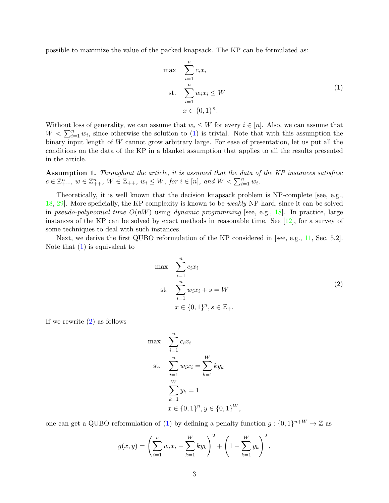possible to maximize the value of the packed knapsack. The KP can be formulated as:

$$
\max \sum_{i=1}^{n} c_i x_i
$$
\n
$$
\text{s.t. } \sum_{i=1}^{n} w_i x_i \le W
$$
\n
$$
x \in \{0, 1\}^n.
$$
\n
$$
(1)
$$

Without loss of generality, we can assume that  $w_i \leq W$  for every  $i \in [n]$ . Also, we can assume that  $W < \sum_{i=1}^{n} w_i$ , since otherwise the solution to (1) is trivial. Note that with this assumption the binary input length of W cannot grow arbitrary large. For ease of presentation, let us put all the conditions on the data of the KP in a blanket assumption that applies to all the results presented in the article.

Assumption 1. Throughout the article, it is assumed that the data of the KP instances satisfies:  $c \in \mathbb{Z}_{++}^n$ ,  $w \in \mathbb{Z}_{++}^n$ ,  $W \in \mathbb{Z}_{++}$ ,  $w_i \leq W$ , for  $i \in [n]$ , and  $W < \sum_{i=1}^n w_i$ .

Theoretically, it is well known that the decision knapsack problem is NP-complete [see, e.g., 18, 29]. More speficially, the KP complexity is known to be weakly NP-hard, since it can be solved in pseudo-polynomial time  $O(nW)$  using dynamic programming [see, e.g., 18]. In practice, large instances of the KP can be solved by exact methods in reasonable time. See [12], for a survey of some techniques to deal with such instances.

Next, we derive the first QUBO reformulation of the KP considered in [see, e.g., 11, Sec. 5.2]. Note that (1) is equivalent to

$$
\max \sum_{i=1}^{n} c_i x_i
$$
  
st. 
$$
\sum_{i=1}^{n} w_i x_i + s = W
$$
  

$$
x \in \{0, 1\}^n, s \in \mathbb{Z}_+.
$$
 (2)

If we rewrite (2) as follows

$$
\max \sum_{i=1}^{n} c_i x_i
$$
\n
$$
\text{st. } \sum_{i=1}^{n} w_i x_i = \sum_{k=1}^{W} k y_k
$$
\n
$$
\sum_{k=1}^{W} y_k = 1
$$
\n
$$
x \in \{0, 1\}^n, y \in \{0, 1\}^W,
$$

one can get a QUBO reformulation of (1) by defining a penalty function  $g: \{0,1\}^{n+W} \to \mathbb{Z}$  as

$$
g(x,y) = \left(\sum_{i=1}^{n} w_i x_i - \sum_{k=1}^{W} k y_k\right)^2 + \left(1 - \sum_{k=1}^{W} y_k\right)^2,
$$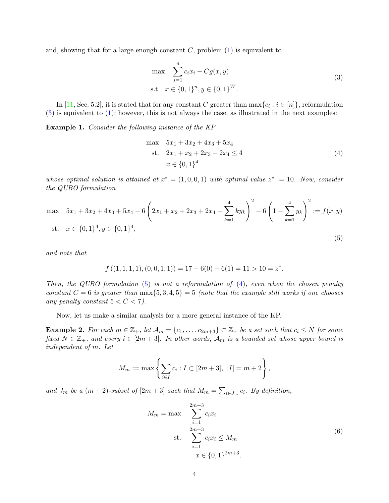and, showing that for a large enough constant  $C$ , problem  $(1)$  is equivalent to

$$
\max \sum_{i=1}^{n} c_i x_i - Cg(x, y)
$$
  
s.t  $x \in \{0, 1\}^n, y \in \{0, 1\}^W.$  (3)

In [11, Sec. 5.2], it is stated that for any constant C greater than  $\max\{c_i : i \in [n]\}$ , reformulation  $(3)$  is equivalent to  $(1)$ ; however, this is not always the case, as illustrated in the next examples:

Example 1. Consider the following instance of the KP

$$
\max \quad 5x_1 + 3x_2 + 4x_3 + 5x_4
$$
\n
$$
\text{s.t.} \quad 2x_1 + x_2 + 2x_3 + 2x_4 \le 4
$$
\n
$$
x \in \{0, 1\}^4
$$
\n
$$
(4)
$$

whose optimal solution is attained at  $x^* = (1,0,0,1)$  with optimal value  $z^* := 10$ . Now, consider the QUBO formulation

$$
\max \quad 5x_1 + 3x_2 + 4x_3 + 5x_4 - 6\left(2x_1 + x_2 + 2x_3 + 2x_4 - \sum_{k=1}^4 ky_k\right)^2 - 6\left(1 - \sum_{k=1}^4 y_k\right)^2 := f(x, y)
$$
\n
$$
\text{st.} \quad x \in \{0, 1\}^4, y \in \{0, 1\}^4,\tag{5}
$$

and note that

$$
f((1,1,1,1),(0,0,1,1)) = 17 - 6(0) - 6(1) = 11 > 10 = z^*.
$$

Then, the QUBO formulation  $(5)$  is not a reformulation of  $(4)$ , even when the chosen penalty constant  $C = 6$  is greater than  $\max\{5, 3, 4, 5\} = 5$  (note that the example still works if one chooses any penalty constant  $5 < C < 7$ ).

Now, let us make a similar analysis for a more general instance of the KP.

**Example 2.** For each  $m \in \mathbb{Z}_+$ , let  $\mathcal{A}_m = \{c_1, \ldots, c_{2m+3}\} \subset \mathbb{Z}_+$  be a set such that  $c_i \leq N$  for some fixed  $N \in \mathbb{Z}_+$ , and every  $i \in [2m+3]$ . In other words,  $\mathcal{A}_m$  is a bounded set whose upper bound is independent of m. Let

$$
M_m := \max \left\{ \sum_{i \in I} c_i : I \subset [2m+3], |I| = m+2 \right\},\,
$$

and  $J_m$  be a  $(m+2)$ -subset of  $[2m+3]$  such that  $M_m = \sum_{i \in J_m} c_i$ . By definition,

$$
M_m = \max \sum_{i=1}^{2m+3} c_i x_i
$$
  
st. 
$$
\sum_{i=1}^{2m+3} c_i x_i \le M_m
$$

$$
x \in \{0, 1\}^{2m+3}.
$$
 (6)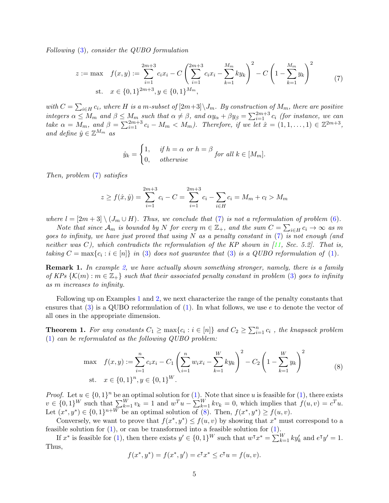Following (3), consider the QUBO formulation

$$
z := \max \quad f(x, y) := \sum_{i=1}^{2m+3} c_i x_i - C \left( \sum_{i=1}^{2m+3} c_i x_i - \sum_{k=1}^{M_m} k y_k \right)^2 - C \left( 1 - \sum_{k=1}^{M_m} y_k \right)^2
$$
  
st.  $x \in \{0, 1\}^{2m+3}, y \in \{0, 1\}^{M_m},$  (7)

with  $C = \sum_{i \in H} c_i$ , where H is a m-subset of  $[2m+3] \setminus J_m$ . By construction of  $M_m$ , there are positive integers  $\alpha \leq M_m$  and  $\beta \leq M_m$  such that  $\alpha \neq \beta$ , and  $\alpha y_\alpha + \beta y_\beta = \sum_{i=1}^{2m+3} c_i$  (for instance, we can take  $\alpha = M_m$ , and  $\beta = \sum_{i=1}^{2m+3} c_i - M_m < M_m$ ). Therefore, if we let  $\hat{x} = (1, 1, \dots, 1) \in \mathbb{Z}^{2m+3}$ , and define  $\hat{y} \in \mathbb{Z}^{M_m}$  as

$$
\hat{y}_k = \begin{cases} 1, & \text{if } h = \alpha \text{ or } h = \beta \\ 0, & \text{otherwise} \end{cases} \text{for all } k \in [M_m].
$$

Then, problem (7) satisfies

$$
z \ge f(\hat{x}, \hat{y}) = \sum_{i=1}^{2m+3} c_i - C = \sum_{i=1}^{2m+3} c_i - \sum_{i \in H} c_i = M_m + c_l > M_m
$$

where  $l = [2m+3] \setminus (J_m \cup H)$ . Thus, we conclude that (7) is not a reformulation of problem (6).

Note that since  $\mathcal{A}_m$  is bounded by N for every  $m \in \mathbb{Z}_+$ , and the sum  $C = \sum_{i \in H} c_i \to \infty$  as m goes to infinity, we have just proved that using  $N$  as a penalty constant in (7) is not enough (and neither was C), which contradicts the reformulation of the KP shown in  $[11, Sec. 5.2]$ . That is, taking  $C = \max\{c_i : i \in [n]\}$  in (3) does not guarantee that (3) is a QUBO reformulation of (1).

**Remark 1.** In example 2, we have actually shown something stronger, namely, there is a family of KPs  $\{\mathcal{K}(m) : m \in \mathbb{Z}_+\}$  such that their associated penalty constant in problem (3) goes to infinity as m increases to infinity.

Following up on Examples 1 and 2, we next characterize the range of the penalty constants that ensures that  $(3)$  is a QUBO reformulation of  $(1)$ . In what follows, we use e to denote the vector of all ones in the appropriate dimension.

**Theorem 1.** For any constants  $C_1 \ge \max\{c_i : i \in [n]\}\$  and  $C_2 \ge \sum_{i=1}^n c_i$ , the knapsack problem (1) can be reformulated as the following QUBO problem:

$$
\max f(x, y) := \sum_{i=1}^{n} c_i x_i - C_1 \left( \sum_{i=1}^{n} w_i x_i - \sum_{k=1}^{W} k y_k \right)^2 - C_2 \left( 1 - \sum_{k=1}^{W} y_k \right)^2
$$
\n
$$
\text{s.t.} \quad x \in \{0, 1\}^n, y \in \{0, 1\}^W. \tag{8}
$$

*Proof.* Let  $u \in \{0,1\}^n$  be an optimal solution for  $(1)$ . Note that since u is feasible for  $(1)$ , there exists  $v \in \{0,1\}^W$  such that  $\sum_{k=1}^W v_k = 1$  and  $w^T u - \sum_{k=1}^W k v_k = 0$ , which implies that  $f(u, v) = c^T u$ . Let  $(x^*, y^*) \in \{0, 1\}^{n+W}$  be an optimal solution of (8). Then,  $f(x^*, y^*) \ge f(u, v)$ .

Conversely, we want to prove that  $f(x^*, y^*) \le f(u, v)$  by showing that  $x^*$  must correspond to a feasible solution for  $(1)$ , or can be transformed into a feasible solution for  $(1)$ .

If  $x^*$  is feasible for (1), then there exists  $y' \in \{0,1\}^W$  such that  $w^{\intercal} x^* = \sum_{k=1}^W k y'_k$  and  $e^{\intercal} y' = 1$ . Thus,

$$
f(x^*, y^*) = f(x^*, y') = c^{\mathsf{T}} x^* \le c^{\mathsf{T}} u = f(u, v).
$$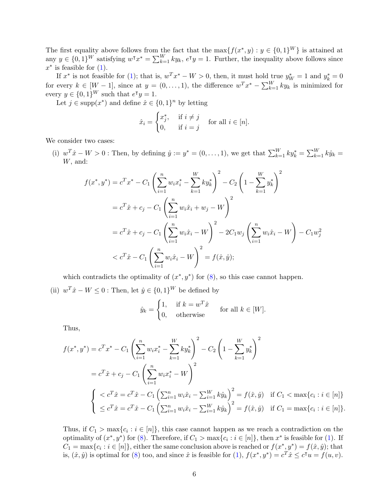The first equality above follows from the fact that the max $\{f(x^*, y) : y \in \{0, 1\}^W\}$  is attained at any  $y \in \{0,1\}^W$  satisfying  $w^{\intercal} x^* = \sum_{k=1}^W ky_k$ ,  $e^{\intercal} y = 1$ . Further, the inequality above follows since  $x^*$  is feasible for  $(1)$ .

If  $x^*$  is not feasible for (1); that is,  $w^T x^* - W > 0$ , then, it must hold true  $y_W^* = 1$  and  $y_k^* = 0$ for every  $k \in [W-1]$ , since at  $y = (0, \ldots, 1)$ , the difference  $w^T x^* - \sum_{k=1}^W k y_k$  is minimized for every  $y \in \{0,1\}^W$  such that  $e^{\mathsf{T}}y = 1$ .

Let  $j \in \text{supp}(x^*)$  and define  $\hat{x} \in \{0,1\}^n$  by letting

$$
\hat{x}_i = \begin{cases} x_j^*, & \text{if } i \neq j \\ 0, & \text{if } i = j \end{cases} \quad \text{for all } i \in [n].
$$

We consider two cases:

(i)  $w^T \hat{x} - W > 0$ : Then, by defining  $\hat{y} := y^* = (0, \ldots, 1)$ , we get that  $\sum_{k=1}^W k y_k^* = \sum_{k=1}^W k \hat{y}_k =$ W, and:

$$
f(x^*, y^*) = c^T x^* - C_1 \left( \sum_{i=1}^n w_i x_i^* - \sum_{k=1}^W k y_k^* \right)^2 - C_2 \left( 1 - \sum_{k=1}^W y_k^* \right)^2
$$
  
=  $c^T \hat{x} + c_j - C_1 \left( \sum_{i=1}^n w_i \hat{x}_i + w_j - W \right)^2$   
=  $c^T \hat{x} + c_j - C_1 \left( \sum_{i=1}^n w_i \hat{x}_i - W \right)^2 - 2C_1 w_j \left( \sum_{i=1}^n w_i \hat{x}_i - W \right) - C_1 w_j^2$   
<  $c^T \hat{x} - C_1 \left( \sum_{i=1}^n w_i \hat{x}_i - W \right)^2 = f(\hat{x}, \hat{y});$ 

which contradicts the optimality of  $(x^*, y^*)$  for  $(8)$ , so this case cannot happen.

(ii)  $w^T \hat{x} - W \leq 0$ : Then, let  $\hat{y} \in \{0, 1\}^W$  be defined by

$$
\hat{y}_k = \begin{cases} 1, & \text{if } k = w^T \hat{x} \\ 0, & \text{otherwise} \end{cases} \quad \text{for all } k \in [W].
$$

Thus,

$$
f(x^*, y^*) = c^T x^* - C_1 \left( \sum_{i=1}^n w_i x_i^* - \sum_{k=1}^W k y_k^* \right)^2 - C_2 \left( 1 - \sum_{k=1}^W y_k^* \right)^2
$$
  
=  $c^T \hat{x} + c_j - C_1 \left( \sum_{i=1}^n w_i x_i^* - W \right)^2$   

$$
\begin{cases} < c^T \hat{x} = c^T \hat{x} - C_1 \left( \sum_{i=1}^n w_i \hat{x}_i - \sum_{i=1}^W k \hat{y}_k \right)^2 = f(\hat{x}, \hat{y}) & \text{if } C_1 < \max\{c_i : i \in [n] \} \\ \le c^T \hat{x} = c^T \hat{x} - C_1 \left( \sum_{i=1}^n w_i \hat{x}_i - \sum_{i=1}^W k \hat{y}_k \right)^2 = f(\hat{x}, \hat{y}) & \text{if } C_1 = \max\{c_i : i \in [n] \}. \end{cases}
$$

Thus, if  $C_1 > \max\{c_i : i \in [n]\}$ , this case cannot happen as we reach a contradiction on the optimality of  $(x^*, y^*)$  for  $(8)$ . Therefore, if  $C_1 > \max\{c_i : i \in [n]\}$ , then  $x^*$  is feasible for (1). If  $C_1 = \max\{c_i : i \in [n]\},\$ either the same conclusion above is reached or  $f(x^*, y^*) = f(\hat{x}, \hat{y});$  that is,  $(\hat{x}, \hat{y})$  is optimal for (8) too, and since  $\hat{x}$  is feasible for (1),  $f(x^*, y^*) = c^T \hat{x} \le c^{\intercal} u = f(u, v)$ .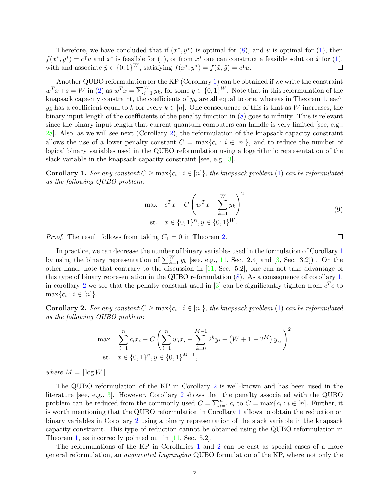Therefore, we have concluded that if  $(x^*, y^*)$  is optimal for  $(8)$ , and u is optimal for  $(1)$ , then  $f(x^*, y^*) = c^{\dagger}u$  and  $x^*$  is feasible for (1), or from  $x^*$  one can construct a feasible solution  $\hat{x}$  for (1), with and associate  $\hat{y} \in \{0, 1\}^W$ , satisfying  $f(x^*, y^*) = f(\hat{x}, \hat{y}) = c^{\mathsf{T}} u$ .  $\Box$ 

Another QUBO reformulation for the KP (Corollary 1) can be obtained if we write the constraint  $w^T x + s = W$  in (2) as  $w^T x = \sum_{i=1}^W y_k$ , for some  $y \in \{0,1\}^W$ . Note that in this reformulation of the knapsack capacity constraint, the coefficients of  $y_k$  are all equal to one, whereas in Theorem 1, each  $y_k$  has a coefficient equal to k for every  $k \in [n]$ . One consequence of this is that as W increases, the binary input length of the coefficients of the penalty function in (8) goes to infinity. This is relevant since the binary input length that current quantum computers can handle is very limited [see, e.g., 28]. Also, as we will see next (Corollary 2), the reformulation of the knapsack capacity constraint allows the use of a lower penalty constant  $C = \max\{c_i : i \in [n]\}\)$ , and to reduce the number of logical binary variables used in the QUBO reformulation using a logarithmic representation of the slack variable in the knapsack capacity constraint [see, e.g., 3].

**Corollary 1.** For any constant  $C \ge \max\{c_i : i \in [n]\}\$ , the knapsack problem (1) can be reformulated as the following QUBO problem:

$$
\max \n\begin{aligned}\n& c^T x - C \left( w^T x - \sum_{k=1}^W y_k \right)^2 \\
\text{s.t.} \quad & x \in \{0, 1\}^n, y \in \{0, 1\}^W.\n\end{aligned}\n\tag{9}
$$

*Proof.* The result follows from taking  $C_1 = 0$  in Theorem 2.

In practice, we can decrease the number of binary variables used in the formulation of Corollary 1 by using the binary representation of  $\sum_{k=1}^{W} y_k$  [see, e.g., 11, Sec. 2.4] and [3, Sec. 3.2]). On the other hand, note that contrary to the discussion in [11, Sec. 5.2], one can not take advantage of this type of binary representation in the QUBO reformulation (8). As a consequence of corollary 1, in corollary 2 we see that the penalty constant used in  $[3]$  can be significantly tighten from  $c^T e$  to  $\max\{c_i : i \in [n]\}.$ 

**Corollary 2.** For any constant  $C \ge \max\{c_i : i \in [n]\}\$ , the knapsack problem (1) can be reformulated as the following QUBO problem:

$$
\max \sum_{i=1}^{n} c_i x_i - C \left( \sum_{i=1}^{n} w_i x_i - \sum_{k=0}^{M-1} 2^k y_i - (W + 1 - 2^M) y_M \right)^2
$$
  
st.  $x \in \{0, 1\}^n, y \in \{0, 1\}^{M+1},$ 

where  $M = |\log W|$ .

The QUBO reformulation of the KP in Corollary 2 is well-known and has been used in the literature [see, e.g., 3]. However, Corollary 2 shows that the penalty associated with the QUBO problem can be reduced from the commonly used  $C = \sum_{i=1}^{n} c_i$  to  $C = \max\{c_i : i \in [n]$ . Further, it is worth mentioning that the QUBO reformulation in Corollary 1 allows to obtain the reduction on binary variables in Corollary 2 using a binary representation of the slack variable in the knapsack capacity constraint. This type of reduction cannot be obtained using the QUBO reformulation in Theorem 1, as incorrectly pointed out in [11, Sec. 5.2].

The reformulations of the KP in Corollaries 1 and 2 can be cast as special cases of a more general reformulation, an augmented Lagrangian QUBO formulation of the KP, where not only the

 $\Box$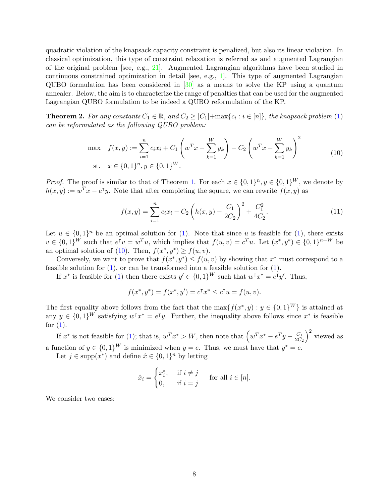quadratic violation of the knapsack capacity constraint is penalized, but also its linear violation. In classical optimization, this type of constraint relaxation is referred as and augmented Lagrangian of the original problem [see, e.g., 21]. Augmented Lagrangian algorithms have been studied in continuous constrained optimization in detail [see, e.g., 1]. This type of augmented Lagrangian QUBO formulation has been considered in [30] as a means to solve the KP using a quantum annealer. Below, the aim is to characterize the range of penalties that can be used for the augmented Lagrangian QUBO formulation to be indeed a QUBO reformulation of the KP.

**Theorem 2.** For any constants  $C_1 \in \mathbb{R}$ , and  $C_2 \geq |C_1| + \max\{c_i : i \in [n]\}\$ , the knapsack problem (1) can be reformulated as the following QUBO problem:

max 
$$
f(x, y) := \sum_{i=1}^{n} c_i x_i + C_1 \left( w^T x - \sum_{k=1}^{W} y_k \right) - C_2 \left( w^T x - \sum_{k=1}^{W} y_k \right)^2
$$
  
st.  $x \in \{0, 1\}^n, y \in \{0, 1\}^W$ . (10)

*Proof.* The proof is similar to that of Theorem 1. For each  $x \in \{0,1\}^n$ ,  $y \in \{0,1\}^W$ , we denote by  $h(x, y) := w^T x - e^T y$ . Note that after completing the square, we can rewrite  $f(x, y)$  as

$$
f(x,y) = \sum_{i=1}^{n} c_i x_i - C_2 \left( h(x,y) - \frac{C_1}{2C_2} \right)^2 + \frac{C_1^2}{4C_2}.
$$
 (11)

Let  $u \in \{0,1\}^n$  be an optimal solution for (1). Note that since u is feasible for (1), there exists  $v \in \{0,1\}^W$  such that  $e^{\mathsf{T}}v = w^T u$ , which implies that  $f(u, v) = c^T u$ . Let  $(x^*, y^*) \in \{0,1\}^{n+W}$  be an optimal solution of (10). Then,  $f(x^*, y^*) \ge f(u, v)$ .

Conversely, we want to prove that  $f(x^*, y^*) \le f(u, v)$  by showing that  $x^*$  must correspond to a feasible solution for  $(1)$ , or can be transformed into a feasible solution for  $(1)$ .

If  $x^*$  is feasible for (1) then there exists  $y' \in \{0,1\}^W$  such that  $w^{\intercal} x^* = e^{\intercal} y'$ . Thus,

$$
f(x^*, y^*) = f(x^*, y') = c^{\mathsf{T}} x^* \le c^{\mathsf{T}} u = f(u, v).
$$

The first equality above follows from the fact that the max $\{f(x^*, y) : y \in \{0, 1\}^W\}$  is attained at any  $y \in \{0,1\}^W$  satisfying  $w^{\intercal} x^* = e^{\intercal} y$ . Further, the inequality above follows since  $x^*$  is feasible for  $(1)$ .

If  $x^*$  is not feasible for (1); that is,  $w^T x^* > W$ , then note that  $\left(w^T x^* - e^T y - \frac{C_1}{2C_2}\right)$  $2C_2$  $\big)^2$  viewed as a function of  $y \in \{0,1\}^W$  is minimized when  $y = e$ . Thus, we must have that  $y^* = e$ .

Let  $j \in \text{supp}(x^*)$  and define  $\hat{x} \in \{0,1\}^n$  by letting

$$
\hat{x}_i = \begin{cases} x_i^*, & \text{if } i \neq j \\ 0, & \text{if } i = j \end{cases} \quad \text{for all } i \in [n].
$$

We consider two cases: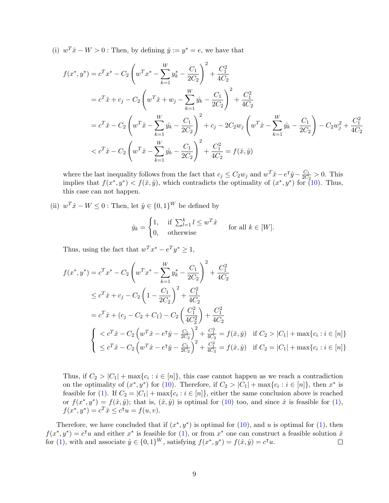(i)  $w^T \hat{x} - W > 0$ : Then, by defining  $\hat{y} := y^* = e$ , we have that

$$
f(x^*, y^*) = c^T x^* - C_2 \left( w^T x^* - \sum_{k=1}^W y_k^* - \frac{C_1}{2C_2} \right)^2 + \frac{C_1^2}{4C_2}
$$
  
=  $c^T \hat{x} + c_j - C_2 \left( w^T \hat{x} + w_j - \sum_{k=1}^W \hat{y}_k - \frac{C_1}{2C_2} \right)^2 + \frac{C_1^2}{4C_2}$   
=  $c^T \hat{x} - C_2 \left( w^T \hat{x} - \sum_{k=1}^W \hat{y}_k - \frac{C_1}{2C_2} \right)^2 + c_j - 2C_2 w_j \left( w^T \hat{x} - \sum_{k=1}^W \hat{y}_k - \frac{C_1}{2C_2} \right) - C_2 w_j^2 + \frac{C_1^2}{4C_2}$   
<  $c^T \hat{x} - C_2 \left( w^T \hat{x} - \sum_{k=1}^W \hat{y}_k - \frac{C_1}{2C_2} \right)^2 + \frac{C_1^2}{4C_2} = f(\hat{x}, \hat{y})$ 

where the last inequality follows from the fact that  $c_j \leq C_2 w_j$  and  $w^T \hat{x} - e^{\dagger} \hat{y} - \frac{C_1}{2C_2}$  $\frac{C_1}{2C_2} > 0$ . This implies that  $f(x^*, y^*) < f(\hat{x}, \hat{y})$ , which contradicts the optimality of  $(x^*, y^*)$  for (10). Thus, this case can not happen.

(ii)  $w^T \hat{x} - W \leq 0$ : Then, let  $\hat{y} \in \{0, 1\}^W$  be defined by

$$
\hat{y}_k = \begin{cases} 1, & \text{if } \sum_{l=1}^k l \le w^T \hat{x} \\ 0, & \text{otherwise} \end{cases} \quad \text{for all } k \in [W].
$$

Thus, using the fact that  $w^T x^* - e^T y^* \ge 1$ ,

$$
f(x^*, y^*) = c^T x^* - C_2 \left( w^T x^* - \sum_{k=1}^W y_k^* - \frac{C_1}{2C_2} \right)^2 + \frac{C_1^2}{4C_2}
$$
  
\n
$$
\leq c^T \hat{x} + c_j - C_2 \left( 1 - \frac{C_1}{2C_2} \right)^2 + \frac{C_1^2}{4C_2}
$$
  
\n
$$
= c^T \hat{x} + (c_j - C_2 + C_1) - C_2 \left( \frac{C_1^2}{4C_2^2} \right) + \frac{C_1^2}{4C_2}
$$
  
\n
$$
\begin{cases}\n< c^T \hat{x} - C_2 \left( w^T \hat{x} - e^T \hat{y} - \frac{C_1}{2C_2} \right)^2 + \frac{C_1^2}{4C_2} = f(\hat{x}, \hat{y}) & \text{if } C_2 > |C_1| + \max\{c_i : i \in [n]\} \\
\leq c^T \hat{x} - C_2 \left( w^T \hat{x} - e^T \hat{y} - \frac{C_1}{2C_2} \right)^2 + \frac{C_1^2}{4C_2} = f(\hat{x}, \hat{y}) & \text{if } C_2 = |C_1| + \max\{c_i : i \in [n]\}\n\end{cases}
$$

Thus, if  $C_2 > |C_1| + \max\{c_i : i \in [n]\}\$ , this case cannot happen as we reach a contradiction on the optimality of  $(x^*, y^*)$  for (10). Therefore, if  $C_2 > |C_1| + \max\{c_i : i \in [n]\}\)$ , then  $x^*$  is feasible for (1). If  $C_2 = |C_1| + \max\{c_i : i \in [n]\}\)$ , either the same conclusion above is reached or  $f(x^*, y^*) = f(\hat{x}, \hat{y})$ ; that is,  $(\hat{x}, \hat{y})$  is optimal for (10) too, and since  $\hat{x}$  is feasible for (1),  $f(x^*, y^*) = c^T \hat{x} \leq c^{\intercal} u = f(u, v).$ 

Therefore, we have concluded that if  $(x^*, y^*)$  is optimal for  $(10)$ , and u is optimal for  $(1)$ , then  $f(x^*, y^*) = c^{\dagger}u$  and either  $x^*$  is feasible for (1), or from  $x^*$  one can construct a feasible solution  $\hat{x}$ for (1), with and associate  $\hat{y} \in \{0, 1\}^W$ , satisfying  $f(x^*, y^*) = f(\hat{x}, \hat{y}) = c^{\mathsf{T}} u$ .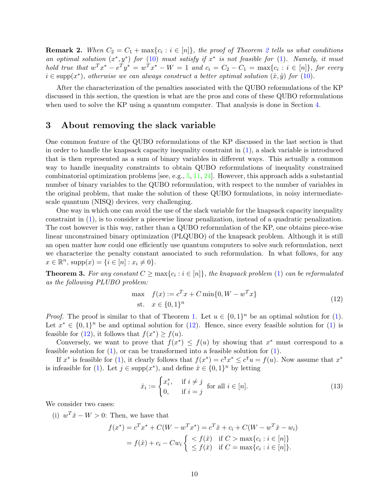**Remark 2.** When  $C_2 = C_1 + \max\{c_i : i \in [n]\}$ , the proof of Theorem 2 tells us what conditions an optimal solution  $(x^*, y^*)$  for  $(10)$  must satisfy if  $x^*$  is not feasible for  $(1)$ . Namely, it must hold true that  $w^T x^* - e^T y^* = w^T x^* - W = 1$  and  $c_i = C_2 - C_1 = \max\{c_i : i \in [n]\}\)$  for every  $i \in \text{supp}(x^*)$ , otherwise we can always construct a better optimal solution  $(\hat{x}, \hat{y})$  for  $(10)$ .

After the characterization of the penalties associated with the QUBO reformulations of the KP discussed in this section, the question is what are the pros and cons of these QUBO reformulations when used to solve the KP using a quantum computer. That analysis is done in Section 4.

#### 3 About removing the slack variable

One common feature of the QUBO reformulations of the KP discussed in the last section is that in order to handle the knapsack capacity inequality constraint in (1), a slack variable is introduced that is then represented as a sum of binary variables in different ways. This actually a common way to handle inequality constraints to obtain QUBO reformulations of inequality constrained combinatorial optimization problems [see, e.g.,  $5, 11, 24$ ]. However, this approach adds a substantial number of binary variables to the QUBO reformulation, with respect to the number of variables in the original problem, that make the solution of these QUBO formulations, in noisy intermediatescale quantum (NISQ) devices, very challenging.

One way in which one can avoid the use of the slack variable for the knapsack capacity inequality constraint in (1), is to consider a piecewise linear penalization, instead of a quadratic penalization. The cost however is this way, rather than a QUBO reformulation of the KP, one obtains piece-wise linear unconstrained binary optimization (PLQUBO) of the knapsack problem. Although it is still an open matter how could one efficiently use quantum computers to solve such reformulation, next we characterize the penalty constant associated to such reformulation. In what follows, for any  $x \in \mathbb{R}^n$ , supp $(x) = \{i \in [n] : x_i \neq 0\}.$ 

**Theorem 3.** For any constant  $C \ge \max\{c_i : i \in [n]\}$ , the knapsack problem (1) can be reformulated as the following PLUBO problem:

$$
\max_{x \in \{0, 1\}^n} f(x) := c^T x + C \min\{0, W - w^T x\} \tag{12}
$$

*Proof.* The proof is similar to that of Theorem 1. Let  $u \in \{0,1\}^n$  be an optimal solution for (1). Let  $x^* \in \{0,1\}^n$  be and optimal solution for (12). Hence, since every feasible solution for (1) is feasible for (12), it follows that  $f(x^*) \ge f(u)$ .

Conversely, we want to prove that  $f(x^*) \leq f(u)$  by showing that  $x^*$  must correspond to a feasible solution for  $(1)$ , or can be transformed into a feasible solution for  $(1)$ .

If  $x^*$  is feasible for (1), it clearly follows that  $f(x^*) = c^{\intercal} x^* \leq c^{\intercal} u = f(u)$ . Now assume that  $x^*$ is infeasible for (1). Let  $j \in \text{supp}(x^*)$ , and define  $\hat{x} \in \{0,1\}^n$  by letting

$$
\hat{x}_i := \begin{cases} x_i^*, & \text{if } i \neq j \\ 0, & \text{if } i = j \end{cases} \text{ for all } i \in [n].
$$
\n(13)

We consider two cases:

(i)  $w^T \hat{x} - W > 0$ : Then, we have that

$$
f(x^*) = c^T x^* + C(W - w^T x^*) = c^T \hat{x} + c_i + C(W - w^T \hat{x} - w_i)
$$
  
=  $f(\hat{x}) + c_i - Cw_i \begin{cases} < f(\hat{x}) & \text{if } C > \max\{c_i : i \in [n]\} \\ \le f(\hat{x}) & \text{if } C = \max\{c_i : i \in [n]\}. \end{cases}$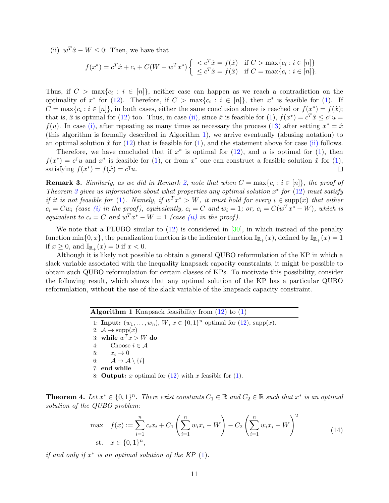(ii)  $w^T \hat{x} - W \leq 0$ : Then, we have that

$$
f(x^*) = c^T \hat{x} + c_i + C(W - w^T x^*) \begin{cases} < c^T \hat{x} = f(\hat{x}) & \text{if } C > \max\{c_i : i \in [n]\} \\ < c^T \hat{x} = f(\hat{x}) & \text{if } C = \max\{c_i : i \in [n]\}. \end{cases}
$$

Thus, if  $C > \max\{c_i : i \in [n]\}$ , neither case can happen as we reach a contradiction on the optimality of  $x^*$  for (12). Therefore, if  $C > \max\{c_i : i \in [n]\}$ , then  $x^*$  is feasible for (1). If  $C = \max\{c_i : i \in [n]\},\$ in both cases, either the same conclusion above is reached or  $f(x^*) = f(\hat{x});$ that is,  $\hat{x}$  is optimal for (12) too. Thus, in case (ii), since  $\hat{x}$  is feasible for (1),  $f(x^*) = c^T \hat{x} \le c^{\intercal} u =$  $f(u)$ . In case (i), after repeating as many times as necessary the process (13) after setting  $x^* = \hat{x}$ (this algorithm is formally described in Algorithm 1), we arrive eventually (abusing notation) to an optimal solution  $\hat{x}$  for (12) that is feasible for (1), and the statement above for case (ii) follows.

Therefore, we have concluded that if  $x^*$  is optimal for  $(12)$ , and u is optimal for  $(1)$ , then  $f(x^*) = c^{\dagger}u$  and  $x^*$  is feasible for (1), or from  $x^*$  one can construct a feasible solution  $\hat{x}$  for (1), satisfying  $f(x^*) = f(\hat{x}) = c^{\mathsf{T}} u$ .  $\Box$ 

**Remark 3.** Similarly, as we did in Remark 2, note that when  $C = \max\{c_i : i \in [n]\}$ , the proof of Theorem 3 gives us information about what properties any optimal solution  $x^*$  for (12) must satisfy if it is not feasible for (1). Namely, if  $w^T x^* > W$ , it must hold for every  $i \in \text{supp}(x)$  that either  $c_i = Cw_i$  (case (i) in the proof), equivalently,  $c_i = C$  and  $w_i = 1$ ; or,  $c_i = C(w^T x^* - W)$ , which is equivalent to  $c_i = C$  and  $w^T x^* - W = 1$  (case (ii) in the proof).

We note that a PLUBO similar to  $(12)$  is considered in [30], in which instead of the penalty function  $\min\{0, x\}$ , the penalization function is the indicator function  $\mathbb{I}_{\mathbb{R}_+}(x)$ , defined by  $\mathbb{I}_{\mathbb{R}_+}(x) = 1$ if  $x \geq 0$ , and  $\mathbb{I}_{\mathbb{R}_+}(x) = 0$  if  $x < 0$ .

Although it is likely not possible to obtain a general QUBO reformulation of the KP in which a slack variable associated with the inequality knapsack capacity constraints, it might be possible to obtain such QUBO reformulation for certain classes of KPs. To motivate this possibility, consider the following result, which shows that any optimal solution of the KP has a particular QUBO reformulation, without the use of the slack variable of the knapsack capacity constraint.

> **Algorithm 1** Knapsack feasibility from  $(12)$  to  $(1)$ 1: **Input:**  $(w_1, ..., w_n)$ ,  $W, x \in \{0, 1\}^n$  optimal for (12), supp(x). 2:  $\mathcal{A} \rightarrow \text{supp}(x)$ 3: while  $w^T x > W$  do 4: Choose  $i \in \mathcal{A}$ <br>5:  $x_i \to 0$ 5:  $x_i \rightarrow 0$ <br>6:  $\mathcal{A} \rightarrow \mathcal{A}$  $\mathcal{A} \rightarrow \mathcal{A} \setminus \{i\}$ 7: end while 8: **Output:** x optimal for  $(12)$  with x feasible for  $(1)$ .

**Theorem 4.** Let  $x^* \in \{0,1\}^n$ . There exist constants  $C_1 \in \mathbb{R}$  and  $C_2 \in \mathbb{R}$  such that  $x^*$  is an optimal solution of the QUBO problem:

$$
\max f(x) := \sum_{i=1}^{n} c_i x_i + C_1 \left( \sum_{i=1}^{n} w_i x_i - W \right) - C_2 \left( \sum_{i=1}^{n} w_i x_i - W \right)^2
$$
\n
$$
\text{s.t. } x \in \{0, 1\}^n,\tag{14}
$$

if and only if  $x^*$  is an optimal solution of the KP  $(1)$ .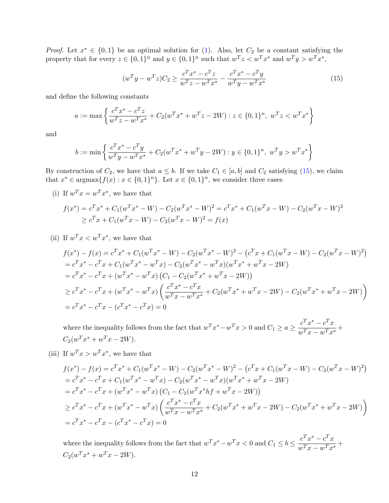*Proof.* Let  $x^* \in \{0,1\}$  be an optimal solution for (1). Also, let  $C_2$  be a constant satisfying the property that for every  $z \in \{0,1\}^n$  and  $y \in \{0,1\}^n$  such that  $w^T z \lt w^T x^*$  and  $w^T y > w^T x^*$ ,

$$
(w^T y - w^T z)C_2 \ge \frac{c^T x^* - c^T z}{w^T z - w^T x^*} - \frac{c^T x^* - c^T y}{w^T y - w^T x^*}
$$
(15)

and define the following constants

$$
a := \max \left\{ \frac{c^T x^* - c^T z}{w^T z - w^T x^*} + C_2 (w^T x^* + w^T z - 2W) : z \in \{0, 1\}^n, \ w^T z < w^T x^* \right\}
$$

and

$$
b := \min \left\{ \frac{c^T x^* - c^T y}{w^T y - w^T x^*} + C_2 (w^T x^* + w^T y - 2W) : y \in \{0, 1\}^n, \ w^T y > w^T x^* \right\}
$$

By construction of  $C_2$ , we have that  $a \leq b$ . If we take  $C_1 \in [a, b]$  and  $C_2$  satisfying (15), we claim that  $x^* \in \text{argmax}\{f(x) : x \in \{0,1\}^n\}$ . Let  $x \in \{0,1\}^n$ , we consider three cases

(i) If  $w^T x = w^T x^*$ , we have that

$$
f(x^*) = c^T x^* + C_1 (w^T x^* - W) - C_2 (w^T x^* - W)^2 = c^T x^* + C_1 (w^T x - W) - C_2 (w^T x - W)^2
$$
  
\n
$$
\geq c^T x + C_1 (w^T x - W) - C_2 (w^T x - W)^2 = f(x)
$$

(ii) If  $w^T x < w^T x^*$ , we have that

$$
f(x^*) - f(x) = c^T x^* + C_1 (w^T x^* - W) - C_2 (w^T x^* - W)^2 - (c^T x + C_1 (w^T x - W) - C_2 (w^T x - W)^2)
$$
  
=  $c^T x^* - c^T x + C_1 (w^T x^* - w^T x) - C_2 (w^T x^* - w^T x)(w^T x^* + w^T x - 2W)$   
=  $c^T x^* - c^T x + (w^T x^* - w^T x) (C_1 - C_2 (w^T x^* + w^T x - 2W))$   
 $\ge c^T x^* - c^T x + (w^T x^* - w^T x) \left( \frac{c^T x^* - c^T x}{w^T x - w^T x^*} + C_2 (w^T x^* + w^T x - 2W) - C_2 (w^T x^* + w^T x - 2W) \right)$   
=  $c^T x^* - c^T x - (c^T x^* - c^T x) = 0$ 

where the inequality follows from the fact that  $w^T x^* - w^T x > 0$  and  $C_1 \ge a \ge \frac{c^T x^* - c^T x}{w^T x - w^T x^*}$  $\frac{v}{w^Tx - w^Tx^*} +$  $C_2(w^T x^* + w^T x - 2W).$ 

(iii) If  $w^T x > w^T x^*$ , we have that

$$
f(x^*) - f(x) = c^T x^* + C_1 (w^T x^* - W) - C_2 (w^T x^* - W)^2 - (c^T x + C_1 (w^T x - W) - C_2 (w^T x - W)^2)
$$
  
=  $c^T x^* - c^T x + C_1 (w^T x^* - w^T x) - C_2 (w^T x^* - w^T x)(w^T x^* + w^T x - 2W)$   
=  $c^T x^* - c^T x + (w^T x^* - w^T x) (C_1 - C_2 (w^T x^* h f + w^T x - 2W))$   
 $\geq c^T x^* - c^T x + (w^T x^* - w^T x) \left( \frac{c^T x^* - c^T x}{w^T x - w^T x^*} + C_2 (w^T x^* + w^T x - 2W) - C_2 (w^T x^* + w^T x - 2W) \right)$   
=  $c^T x^* - c^T x - (c^T x^* - c^T x) = 0$ 

where the inequality follows from the fact that  $w^T x^* - w^T x < 0$  and  $C_1 \le b \le \frac{c^T x^* - c^T x}{w^T x - w^T x^*}$  $\frac{v}{w^Tx - w^Tx^*} +$  $C_2(w^T x^* + w^T x - 2W).$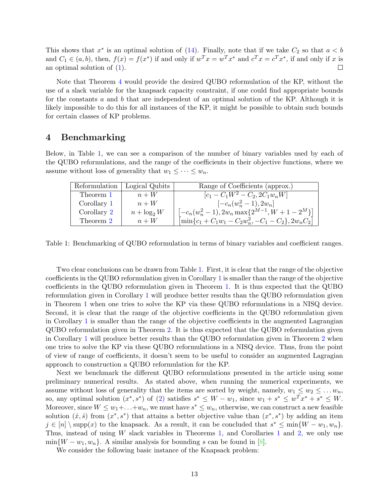This shows that  $x^*$  is an optimal solution of (14). Finally, note that if we take  $C_2$  so that  $a < b$ and  $C_1 \in (a, b)$ , then,  $f(x) = f(x^*)$  if and only if  $w^T x = w^T x^*$  and  $c^T x = c^T x^*$ , if and only if x is an optimal solution of (1).  $\Box$ 

Note that Theorem 4 would provide the desired QUBO reformulation of the KP, without the use of a slack variable for the knapsack capacity constraint, if one could find appropriate bounds for the constants a and b that are independent of an optimal solution of the KP. Although it is likely impossible to do this for all instances of the KP, it might be possible to obtain such bounds for certain classes of KP problems.

#### 4 Benchmarking

Below, in Table 1, we can see a comparison of the number of binary variables used by each of the QUBO reformulations, and the range of the coefficients in their objective functions, where we assume without loss of generality that  $w_1 \leq \cdots \leq w_n$ .

| Reformulation | Logical Qubits | Range of Coefficients (approx.)                             |
|---------------|----------------|-------------------------------------------------------------|
| Theorem 1     | $n+W$          | $[c_1 - C_1 W^2 - C_2, 2C_1 w_n W]$                         |
| Corollary 1   | $n+W$          | $[-c_n(w_n^2-1), 2w_n]$                                     |
| Corollary 2   | $n + \log_2 W$ | $[-c_n(w_n^2-1), 2w_n \max\{2^{M-1}, W+1-2^M\}]$            |
| Theorem 2     | $n+W$          | $\left[\min\{c_1+C_1w_1-C_2w_n^2,-C_1-C_2\},2w_nC_2\right]$ |

Table 1: Benchmarking of QUBO reformulation in terms of binary variables and coefficient ranges.

Two clear conclusions can be drawn from Table 1. First, it is clear that the range of the objective coefficients in the QUBO reformulation given in Corollary 1 is smaller than the range of the objective coefficients in the QUBO reformulation given in Theorem 1. It is thus expected that the QUBO reformulation given in Corollary 1 will produce better results than the QUBO reformulation given in Theorem 1 when one tries to solve the KP via these QUBO reformulations in a NISQ device. Second, it is clear that the range of the objective coefficients in the QUBO reformulation given in Corollary 1 is smaller than the range of the objective coefficients in the augmented Lagrangian QUBO reformulation given in Theorem 2. It is thus expected that the QUBO reformulation given in Corollary 1 will produce better results than the QUBO reformulation given in Theorem 2 when one tries to solve the KP via these QUBO reformulations in a NISQ device. Thus, from the point of view of range of coefficients, it doesn't seem to be useful to consider an augmented Lagragian approach to construction a QUBO reformulation for the KP.

Next we benchmark the different QUBO reformulations presented in the article using some preliminary numerical results. As stated above, when running the numerical experiments, we assume without loss of generality that the items are sorted by weight, namely,  $w_1 \leq w_2 \leq \ldots w_n$ , so, any optimal solution  $(x^*, s^*)$  of (2) satisfies  $s^* \leq W - w_1$ , since  $w_1 + s^* \leq w^T x^* + s^* \leq W$ . Moreover, since  $W \leq w_1 + \ldots + w_n$ , we must have  $s^* \leq w_n$ , otherwise, we can construct a new feasible solution  $(\hat{x}, \hat{s})$  from  $(x^*, s^*)$  that attains a better objective value than  $(x^*, s^*)$  by adding an item  $j \in [n] \setminus \text{supp}(x)$  to the knapsack. As a result, it can be concluded that  $s^* \le \min\{W - w_1, w_n\}.$ Thus, instead of using  $W$  slack variables in Theorems 1, and Corollaries 1 and 2, we only use  $\min\{W - w_1, w_n\}$ . A similar analysis for bounding s can be found in [8].

We consider the following basic instance of the Knapsack problem: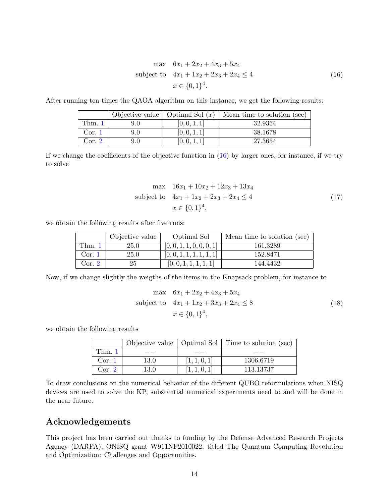$$
\max \quad 6x_1 + 2x_2 + 4x_3 + 5x_4
$$
\n
$$
\text{subject to} \quad 4x_1 + 1x_2 + 2x_3 + 2x_4 \le 4
$$
\n
$$
x \in \{0, 1\}^4.
$$
\n
$$
(16)
$$

After running ten times the QAOA algorithm on this instance, we get the following results:

|        |     | Objective value   Optimal Sol $(x)$ | Mean time to solution (sec) |
|--------|-----|-------------------------------------|-----------------------------|
| Thm.1  | 9.0 | [0, 0, 1, 1]                        | 32.9354                     |
| Cor. 1 | 9.0 | [0, 0, 1, 1]                        | 38.1678                     |
| Cor. 2 | 9.0 | [0, 0, 1, 1]                        | 27.3654                     |

If we change the coefficients of the objective function in  $(16)$  by larger ones, for instance, if we try to solve

$$
\max \quad 16x_1 + 10x_2 + 12x_3 + 13x_4
$$
\n
$$
\text{subject to} \quad 4x_1 + 1x_2 + 2x_3 + 2x_4 \le 4
$$
\n
$$
x \in \{0, 1\}^4,
$$
\n
$$
(17)
$$

we obtain the following results after five runs:

|        | Objective value | Optimal Sol              | Mean time to solution (sec) |
|--------|-----------------|--------------------------|-----------------------------|
| Thm.1  | $25.0\,$        | [0, 0, 1, 1, 0, 0, 0, 1] | 161.3289                    |
| Cor. 1 | 25.0            | [0, 0, 1, 1, 1, 1, 1, 1] | 152.8471                    |
| Cor. 2 | 25              | [0, 0, 1, 1, 1, 1, 1]    | 144.4432                    |

Now, if we change slightly the weigths of the items in the Knapsack problem, for instance to

$$
\max \quad 6x_1 + 2x_2 + 4x_3 + 5x_4
$$
\n
$$
\text{subject to} \quad 4x_1 + 1x_2 + 3x_3 + 2x_4 \le 8
$$
\n
$$
x \in \{0, 1\}^4,
$$
\n
$$
(18)
$$

we obtain the following results

|        |      |              | Objective value   Optimal Sol   Time to solution (sec) |
|--------|------|--------------|--------------------------------------------------------|
| Thm. 1 |      |              |                                                        |
| Cor. 1 | 13.0 | [1, 1, 0, 1] | 1306.6719                                              |
| Cor. 2 | 13.0 | [1, 1, 0, 1] | 113.13737                                              |

To draw conclusions on the numerical behavior of the different QUBO reformulations when NISQ devices are used to solve the KP, substantial numerical experiments need to and will be done in the near future.

#### Acknowledgements

This project has been carried out thanks to funding by the Defense Advanced Research Projects Agency (DARPA), ONISQ grant W911NF2010022, titled The Quantum Computing Revolution and Optimization: Challenges and Opportunities.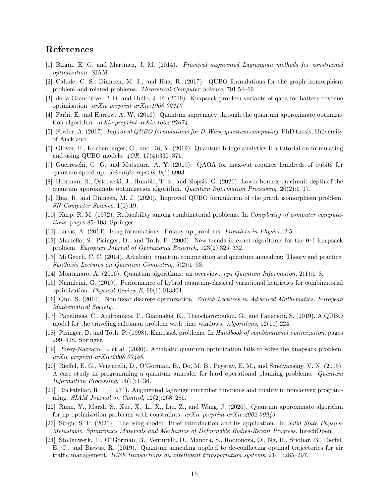### References

- [1] Birgin, E. G. and Mart´ınez, J. M. (2014). Practical augmented Lagrangian methods for constrained optimization. SIAM.
- [2] Calude, C. S., Dinneen, M. J., and Hua, R. (2017). QUBO formulations for the graph isomorphism problem and related problems. Theoretical Computer Science, 701:54–69.
- [3] de la Grand'rive, P. D. and Hullo, J.-F. (2019). Knapsack problem variants of qaoa for battery revenue optimisation. arXiv preprint arXiv:1908.02210.
- [4] Farhi, E. and Harrow, A. W. (2016). Quantum supremacy through the quantum approximate optimization algorithm. arXiv preprint arXiv:1602.07674.
- [5] Fowler, A. (2017). Improved QUBO formulations for D-Wave quantum computing. PhD thesis, University of Auckland.
- [6] Glover, F., Kochenberger, G., and Du, Y. (2019). Quantum bridge analytics I: a tutorial on formulating and using QUBO models. 4OR, 17(4):335–371.
- [7] Guerreschi, G. G. and Matsuura, A. Y. (2019). QAOA for max-cut requires hundreds of qubits for quantum speed-up. Scientific reports, 9(1):6903.
- [8] Herrman, R., Ostrowski, J., Humble, T. S., and Siopsis, G. (2021). Lower bounds on circuit depth of the quantum approximate optimization algorithm. Quantum Information Processing,  $20(2):1-17$ .
- [9] Hua, R. and Dinneen, M. J. (2020). Improved QUBO formulation of the graph isomorphism problem. SN Computer Science, 1(1):19.
- [10] Karp, R. M. (1972). Reducibility among combinatorial problems. In Complexity of computer computations, pages 85–103. Springer.
- [11] Lucas, A. (2014). Ising formulations of many np problems. Frontiers in Physics, 2:5.
- [12] Martello, S., Pisinger, D., and Toth, P. (2000). New trends in exact algorithms for the 0–1 knapsack problem. European Journal of Operational Research, 123(2):325–332.
- [13] McGeoch, C. C. (2014). Adiabatic quantum computation and quantum annealing: Theory and practice. Synthesis Lectures on Quantum Computing, 5(2):1–93.
- [14] Montanaro, A. (2016). Quantum algorithms: an overview. npj Quantum Information, 2(1):1–8.
- [15] Nannicini, G. (2019). Performance of hybrid quantum-classical variational heuristics for combinatorial optimization. Physical Review E, 99(1):013304.
- [16] Onn, S. (2010). Nonlinear discrete optimization. Zurich Lectures in Advanced Mathematics, European Mathematical Society.
- [17] Papalitsas, C., Andronikos, T., Giannakis, K., Theocharopoulou, G., and Fanarioti, S. (2019). A QUBO model for the traveling salesman problem with time windows. Algorithms, 12(11):224.
- [18] Pisinger, D. and Toth, P. (1998). Knapsack problems. In Handbook of combinatorial optimization, pages 299–428. Springer.
- [19] Pusey-Nazzaro, L. et al. (2020). Adiabatic quantum optimization fails to solve the knapsack problem. arXiv preprint arXiv:2008.07456.
- [20] Rieffel, E. G., Venturelli, D., O'Gorman, B., Do, M. B., Prystay, E. M., and Smelyanskiy, V. N. (2015). A case study in programming a quantum annealer for hard operational planning problems. Quantum Information Processing, 14(1):1–36.
- [21] Rockafellar, R. T. (1974). Augmented lagrange multiplier functions and duality in nonconvex programming. SIAM Journal on Control, 12(2):268–285.
- [22] Ruan, Y., Marsh, S., Xue, X., Li, X., Liu, Z., and Wang, J. (2020). Quantum approximate algorithm for np optimization problems with constraints.  $arXiv$  preprint  $arXiv:2002.00943$ .
- [23] Singh, S. P. (2020). The ising model: Brief introduction and its application. In Solid State Physics-Metastable, Spintronics Materials and Mechanics of Deformable Bodies-Recent Progress. IntechOpen.
- [24] Stollenwerk, T., O?Gorman, B., Venturelli, D., Mandra, S., Rodionova, O., Ng, H., Sridhar, B., Rieffel, E. G., and Biswas, R. (2019). Quantum annealing applied to de-conflicting optimal trajectories for air traffic management. IEEE transactions on intelligent transportation systems, 21(1):285–297.